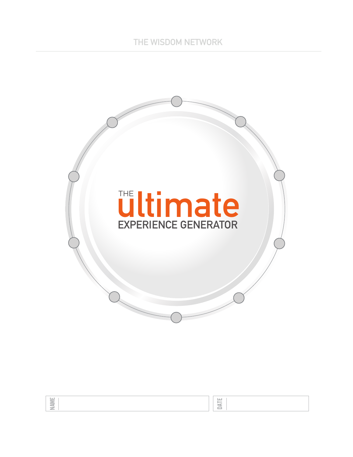

NAME

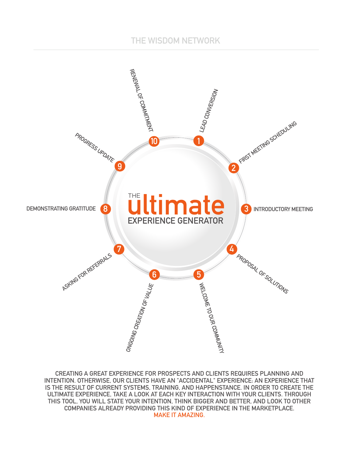### **THE WISDOM NETWORK**



**CREATING A GREAT EXPERIENCE FOR PROSPECTS AND CLIENTS REQUIRES PLANNING AND INTENTION. OTHERWISE, OUR CLIENTS HAVE AN "ACCIDENTAL" EXPERIENCE: AN EXPERIENCE THAT IS THE RESULT OF CURRENT SYSTEMS, TRAINING, AND HAPPENSTANCE. IN ORDER TO CREATE THE ULTIMATE EXPERIENCE, TAKE A LOOK AT EACH KEY INTERACTION WITH YOUR CLIENTS. THROUGH THIS TOOL, YOU WILL STATE YOUR INTENTION, THINK BIGGER AND BETTER, AND LOOK TO OTHER COMPANIES ALREADY PROVIDING THIS KIND OF EXPERIENCE IN THE MARKETPLACE. MAKE IT AMAZING.**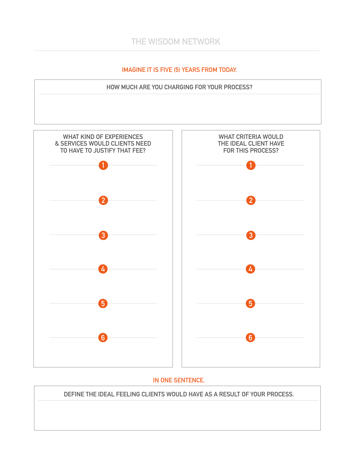### **IMAGINE IT IS FIVE (5) YEARS FROM TODAY.**





#### **IN ONE SENTENCE,**

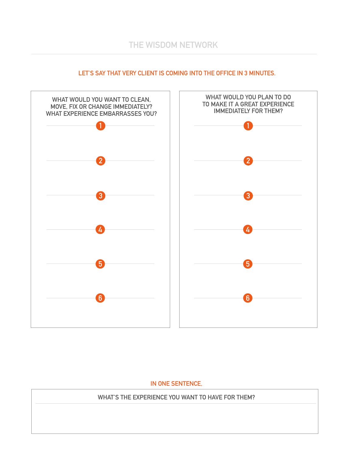

#### **LET'S SAY THAT VERY CLIENT IS COMING INTO THE OFFICE IN 3 MINUTES.**

#### **IN ONE SENTENCE,**

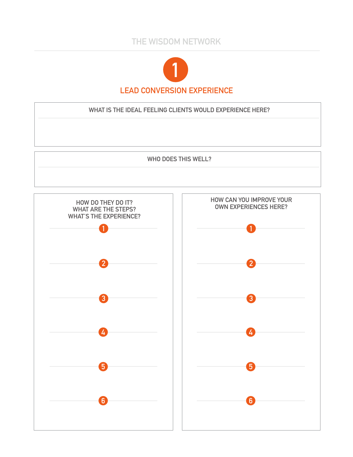# **THE WISDOM NETWORK**



**WHAT IS THE IDEAL FEELING CLIENTS WOULD EXPERIENCE HERE?**

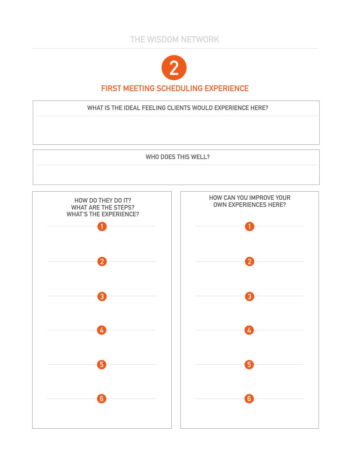

## **FIRST MEETING SCHEDULING EXPERIENCE**

**WHAT IS THE IDEAL FEELING CLIENTS WOULD EXPERIENCE HERE?**

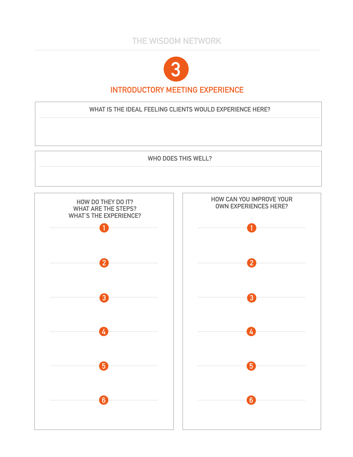

## **INTRODUCTORY MEETING EXPERIENCE**

**WHAT IS THE IDEAL FEELING CLIENTS WOULD EXPERIENCE HERE?**

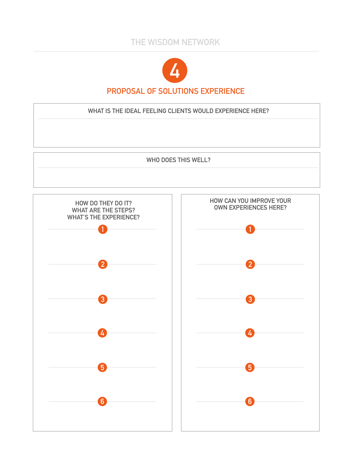

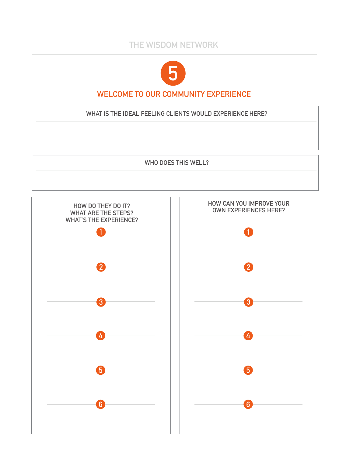

# **WELCOME TO OUR COMMUNITY EXPERIENCE**

**WHAT IS THE IDEAL FEELING CLIENTS WOULD EXPERIENCE HERE?**

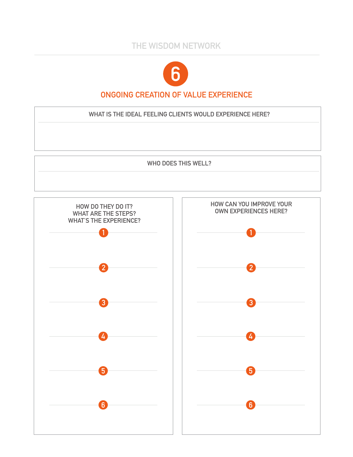

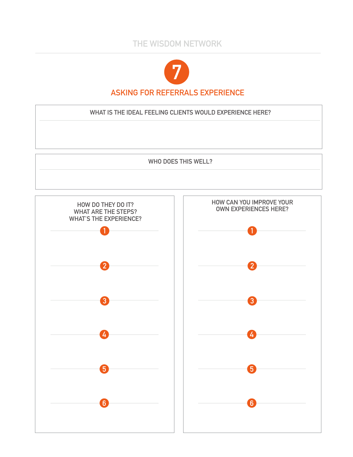

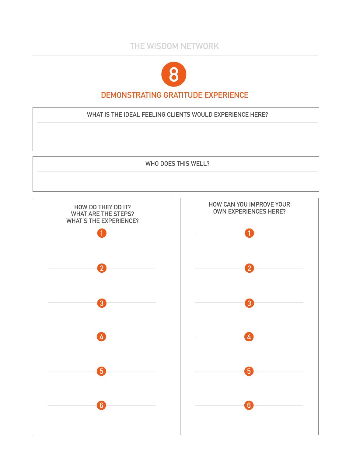

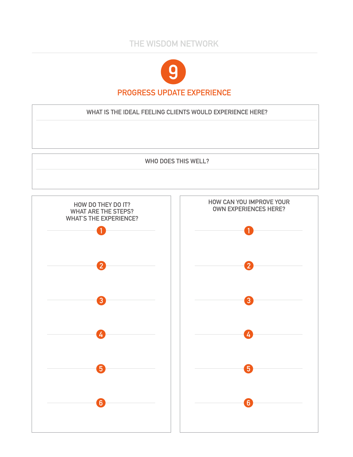

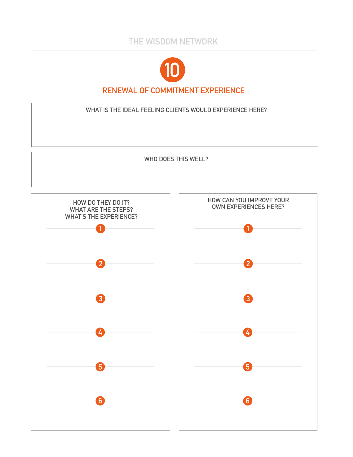

## **RENEWAL OF COMMITMENT EXPERIENCE**

**WHAT IS THE IDEAL FEELING CLIENTS WOULD EXPERIENCE HERE?**

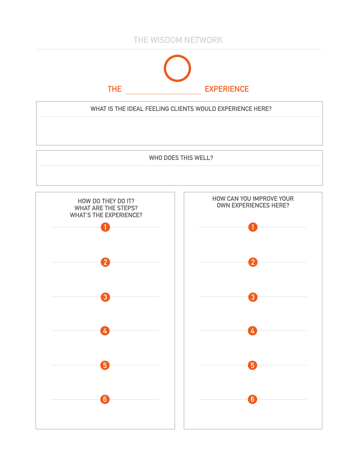